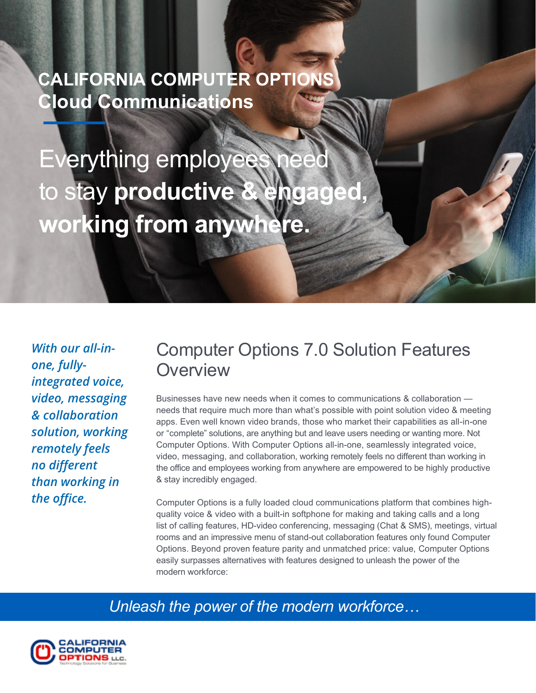# **CALIFORNIA COMPUTER OPTIONS Cloud Communications**

Everything employees to stay **productive & engaged working from anywhere.**

*With our all-inone, fullyintegrated voice, video, messaging & collaboration solution, working remotely feels no different than working in the office.*

## Computer Options 7.0 Solution Features **Overview**

Businesses have new needs when it comes to communications & collaboration needs that require much more than what's possible with point solution video & meeting apps. Even well known video brands, those who market their capabilities as all-in-one or "complete" solutions, are anything but and leave users needing or wanting more. Not Computer Options. With Computer Options all-in-one, seamlessly integrated voice, video, messaging, and collaboration, working remotely feels no different than working in the office and employees working from anywhere are empowered to be highly productive & stay incredibly engaged.

Computer Options is a fully loaded cloud communications platform that combines highquality voice & video with a built-in softphone for making and taking calls and a long list of calling features, HD-video conferencing, messaging (Chat & SMS), meetings, virtual rooms and an impressive menu of stand-out collaboration features only found Computer Options. Beyond proven feature parity and unmatched price: value, Computer Options easily surpasses alternatives with features designed to unleash the power of the modern workforce:

*Unleash the power of the modern workforce…*